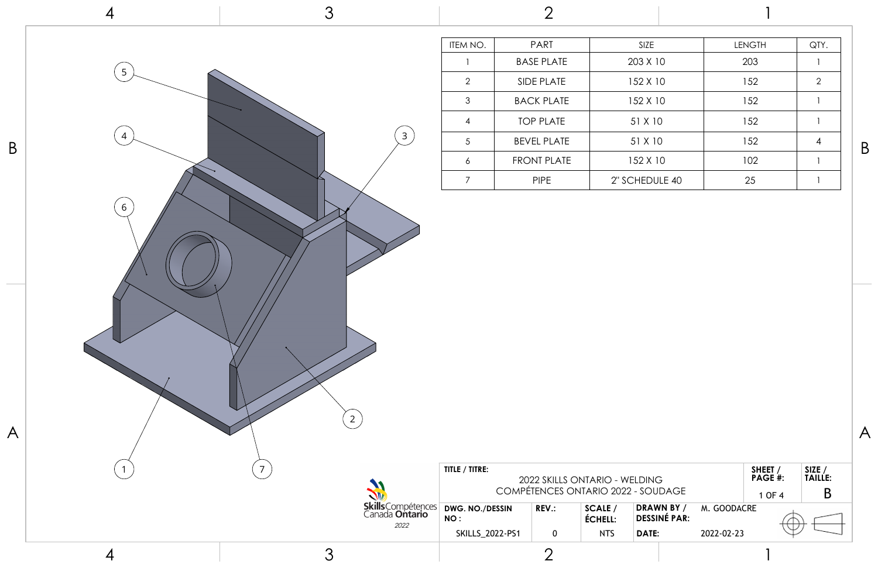

| ΖE      | <b>LENGTH</b> | QTY.           |
|---------|---------------|----------------|
| X 10    | 203           | 1              |
| X 10    | 152           | $\overline{2}$ |
| X 10    | 152           |                |
| K 10    | 152           | 1              |
| K 10    | 152           | 4              |
| X 10    | 102           | 1              |
| DULE 40 | 25            |                |
|         |               |                |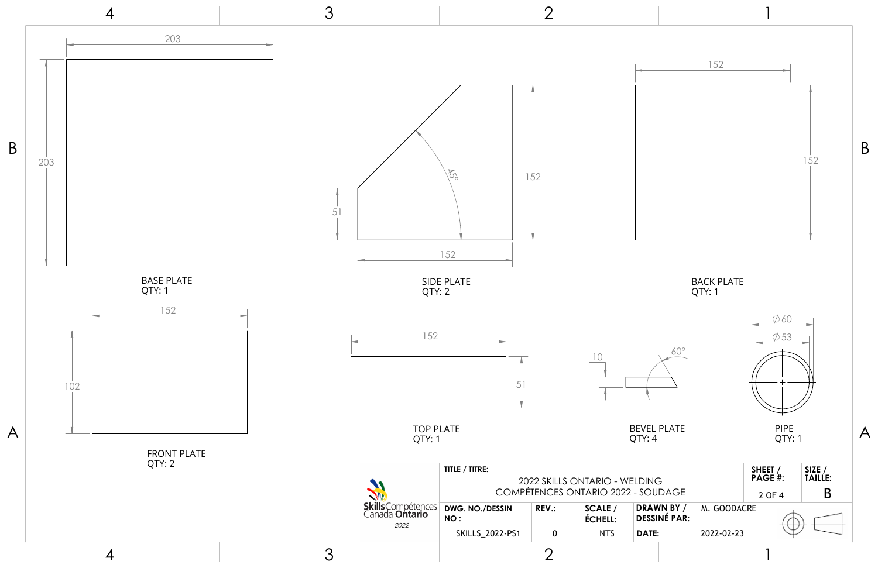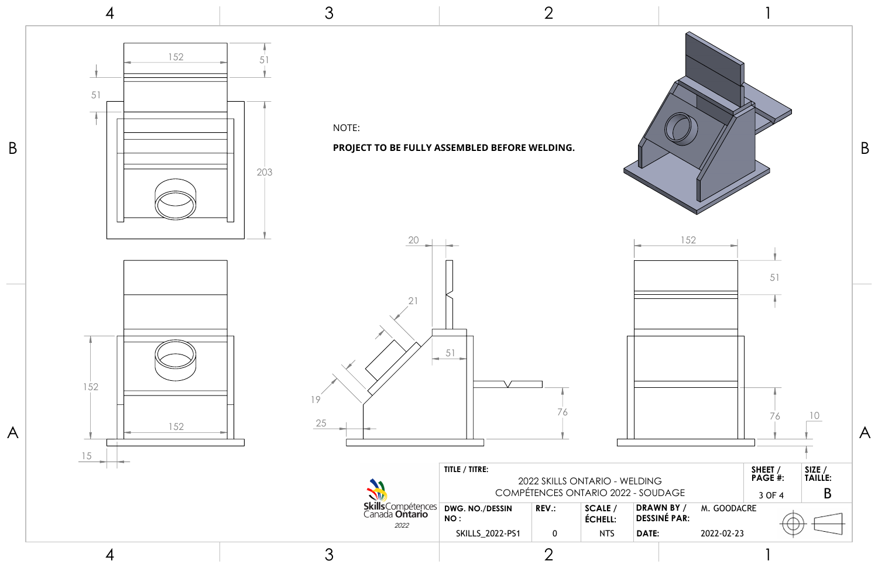

4

3

2



| sCompétences<br>ada <b>Ontario</b><br>2022 | TITLE / TITRE:<br>2022 SKILLS ONTARIO - WELDING<br>COMPÉTENCES ONTARIO 2022 - SOUDAGE |              |                    |                                   |  |
|--------------------------------------------|---------------------------------------------------------------------------------------|--------------|--------------------|-----------------------------------|--|
|                                            | DWG. NO./DESSIN<br>NO:                                                                | <b>REV.:</b> | SCALE /<br>ÉCHELL: | DRAWN BY /<br><b>DESSINÉ PAR:</b> |  |
|                                            | <b>SKILLS 2022-PS1</b>                                                                |              | <b>NTS</b>         | DATE:                             |  |
|                                            |                                                                                       |              |                    |                                   |  |